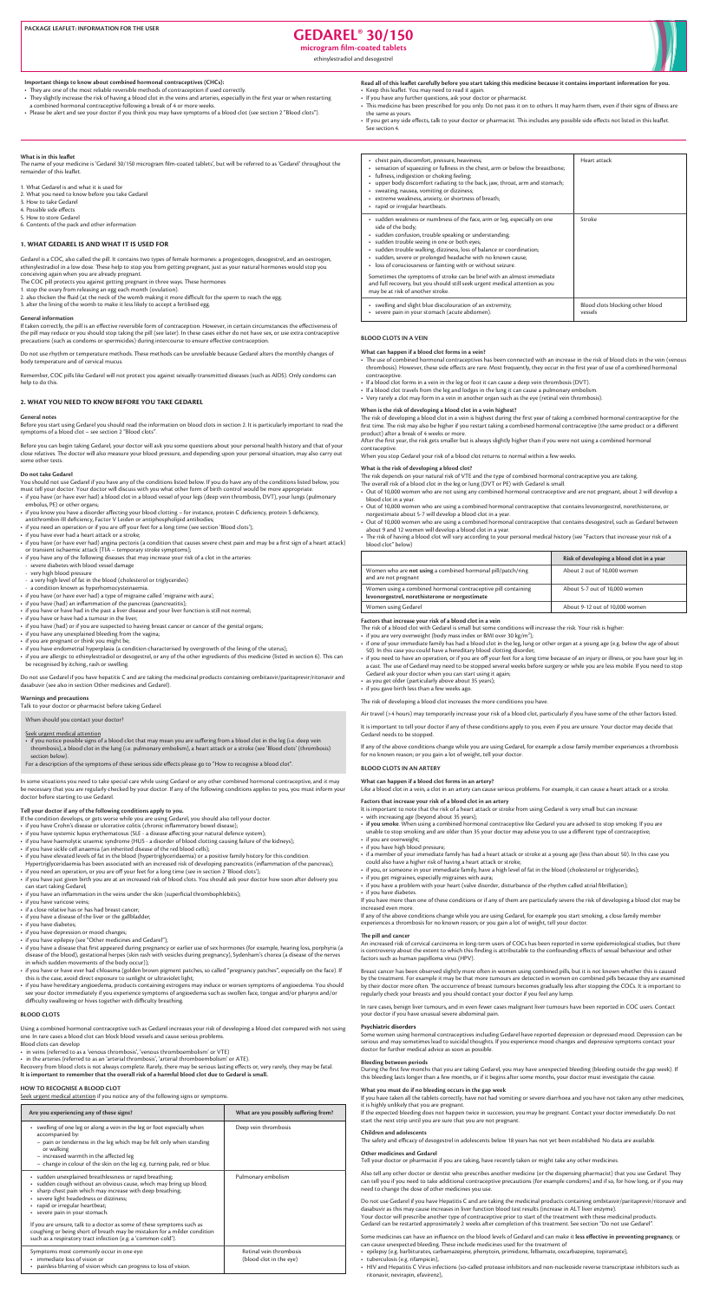# PACKAGE LEAFLET: INFORMATION FOR THE USER **THE USER** THE USER THE USER **SOLUTION OF DAREL<sup>®</sup> 30/150**

microgram film-coated tablets

ethinylestradiol and desogestrel



#### Important things to know about combined hormonal contraceptives (CHCs):

• They are one of the most reliable reversible methods of contraception if used correctly.

• They slightly increase the risk of having a blood clot in the veins and arteries, especially in the first year or when restarting a combined hormonal contraceptive following a break of 4 or more weeks.

. Please be alert and see your doctor if you think you may have symptoms of a blood clot (see section 2 "Blood clots").

#### Read all of this leaflet carefully before you start taking this medicine because it contains important information for you. • Keep this leaflet. You may need to read it again.

- If you have any further questions, ask your doctor or pharmacist.
- This medicine has been prescribed for you only. Do not pass it on to others. It may harm them, even if their signs of illness are the same as vours.
- . If you get any side effects, talk to your doctor or pharmacist. This includes any possible side effects not listed in this leaflet. See section 4.

# **What is in this leaflet**

The name of your medicine is 'Gedarel 30/150 microgram film-coated tablets', but will be referred to as 'Gedarel' throughout the remainder of this leaflet.

1. What Gedarel is and what it is used for

- 2. What you need to know before you take Gedarel
- 3. How to take Gedarel
- 4. Possible side effects
- 5. How to store Gedarel
- 6. Contents of the pack and other information

### **1. WHAT GEDAREL IS AND WHAT IT IS USED FOR**

Gedarel is a COC, also called the pill. It contains two types of female hormones: a progestogen, desogestrel, and an oestrogen, ethinylestradiol in a low dose. These help to stop you from getting pregnant, just as your natural hormones would stop you conceiving again when you are already pregnant.

- The COC pill protects you against getting pregnant in three ways. These hormones
- 1. stop the ovary from releasing an egg each month (ovulation).
- 2. also thicken the fluid (at the neck of the womb making it more difficult for the sperm to reach the egg.
- 3. alter the lining of the womb to make it less likely to accept a fertilised egg.

#### **General** information

If taken correctly, the pill is an effective reversible form of contraception. However, in certain circumstances the effectiveness of the pill may reduce or you should stop taking the pill (see later). In these cases either do not have sex, or use extra contraceptive precautions (such as condoms or spermicides) during intercourse to ensure effective contraception.

Do not use rhythm or temperature methods. These methods can be unreliable because Gedarel alters the monthly changes of body temperature and of cervical mucus.

Remember, COC pills like Gedarel will not protect you against sexually-transmitted diseases (such as AIDS). Only condoms can help to do this.

# **2. WHAT YOU NEED TO KNOW BEFORE YOU TAKE GEDAREL**

#### **General** notes

Before you start using Gedarel you should read the information on blood clots in section 2. It is particularly important to read the symptoms of a blood clot - see section 2 "Blood clots".

Before you can begin taking Gedarel, your doctor will ask you some questions about your personal health history and that of your close relatives. The doctor will also measure your blood pressure, and depending upon your personal situation, may also carry out some other tests.

#### **Do** not take Gedarel

You should not use Gedarel if you have any of the conditions listed below. If you do have any of the conditions listed below, you must tell your doctor. Your doctor will discuss with you what other form of birth control would be more appropriate.

- if you have (or have ever had) a blood clot in a blood vessel of your legs (deep vein thrombosis, DVT), your lungs (pulmonary embolus, PE) or other organs;
- if you know you have a disorder affecting your blood clotting for instance, protein C deficiency, protein S deficiency,
- antithrombin-III deficiency, Factor V Leiden or antiphospholipid antibodies; • if you need an operation or if you are off your feet for a long time (see section 'Blood clots');
- if you have ever had a heart attack or a stroke;
- if you have (or have ever had) angina pectoris (a condition that causes severe chest pain and may be a first sign of a heart attack) or transient ischaemic attack [TIA - temporary stroke symptoms];
- if you have any of the following diseases that may increase your risk of a clot in the arteries:
- severe diabetes with blood vessel damage
- very high blood pressure
- a very high level of fat in the blood (cholesterol or triglycerides)
- a condition known as hyperhomocysteinaemia.
- if you have (or have ever had) a type of migraine called 'migraine with aura';
- if you have (had) an inflammation of the pancreas (pancreatitis);
- if you have or have had in the past a liver disease and your liver function is still not normal;
- if you have or have had a tumour in the liver:
- if you have (had) or if you are suspected to having breast cancer or cancer of the genital organs;
- if you have any unexplained bleeding from the vagina;
- if you are pregnant or think you might be;
- if you have endometrial hyperplasia (a condition characterised by overgrowth of the lining of the uterus):

After the first year, the risk gets smaller but is always slightly higher than if you were not using a combined hormonal .contraceptive

When you stop Gedarel your risk of a blood clot returns to normal within a few weeks.

# What is the risk of developing a blood clot?

The risk depends on your natural risk of VTE and the type of combined hormonal contraceptive you are taking. The overall risk of a blood clot in the leg or lung (DVT or PE) with Gedarel is small.

- Out of 10,000 women who are not using any combined hormonal contraceptive and are not pregnant, about 2 will develop a blood clot in a year.
- Out of 10,000 women who are using a combined hormonal contraceptive that contains levonorgestrel, norethisterone, or norgestimate about 5-7 will develop a blood clot in a vear.
- Out of 10,000 women who are using a combined hormonal contraceptive that contains desogestrel, such as Gedarel between about 9 and 12 women will develop a blood clot in a year.
- The risk of having a blood clot will vary according to your personal medical history (see "Factors that increase your risk of a blood clot" below)

| Are you experiencing any of these signs?                                                                                                                                                                                                                                                                            | What are you possibly suffering from?              |
|---------------------------------------------------------------------------------------------------------------------------------------------------------------------------------------------------------------------------------------------------------------------------------------------------------------------|----------------------------------------------------|
| swelling of one leg or along a vein in the leg or foot especially when<br>$\bullet$<br>accompanied by:<br>- pain or tenderness in the leg which may be felt only when standing<br>or walking<br>- increased warmth in the affected leg<br>- change in colour of the skin on the leg e.g. turning pale, red or blue. | Deep vein thrombosis                               |
| · sudden unexplained breathlessness or rapid breathing;<br>sudden cough without an obvious cause, which may bring up blood;<br>sharp chest pain which may increase with deep breathing;<br>severe light headedness or dizziness;<br>rapid or irregular heartbeat;<br>severe pain in your stomach.                   | Pulmonary embolism                                 |
| If you are unsure, talk to a doctor as some of these symptoms such as<br>coughing or being short of breath may be mistaken for a milder condition<br>such as a respiratory tract infection (e.g. a 'common cold').                                                                                                  |                                                    |
| Symptoms most commonly occur in one eye:<br>• immediate loss of vision or<br>• painless blurring of vision which can progress to loss of vision.                                                                                                                                                                    | Retinal vein thrombosis<br>(blood clot in the eye) |

- 50). In this case vou could have a hereditary blood clotting disorder:
- if you need to have an operation, or if you are off your feet for a long time because of an injury or illness, or you have your leg in a cast. The use of Gedarel may need to be stopped several weeks before surgery or while you are less mobile. If you need to stop Gedarel ask your doctor when you can start using it again;
- as you get older (particularly above about 35 years);
- if you gave birth less than a few weeks ago.

The risk of developing a blood clot increases the more conditions you have.

Air travel (>4 hours) may temporarily increase your risk of a blood clot, particularly if you have some of the other factors listed.

It is important to tell your doctor if any of these conditions apply to you, even if you are unsure. Your doctor may decide that Gedarel needs to be stopped.

If any of the above conditions change while you are using Gedarel, for example a close family member experiences a thrombosis for no known reason; or you gain a lot of weight, tell your doctor.

# **BLOOD CLOTS IN AN ARTERY**

#### What can happen if a blood clot forms in an artery?

Like a blood clot in a vein, a clot in an artery can cause serious problems. For example, it can cause a heart attack or a stroke.

## Factors that increase your risk of a blood clot in an artery

- It is important to note that the risk of a heart attack or stroke from using Gedarel is very small but can increase:
- with increasing age (beyond about 35 years);
- if you smoke. When using a combined hormonal contraceptive like Gedarel you are advised to stop smoking. If you are
- unable to stop smoking and are older than 35 your doctor may advise you to use a different type of contraceptive;
- if you are overweight:
- if you have high blood pressure;
- if a member of your immediate family has had a heart attack or stroke at a young age (less than about 50). In this case you could also have a higher risk of having a heart attack or stroke;
- if you, or someone in your immediate family, have a high level of fat in the blood (cholesterol or triglycerides);
- if you get migraines, especially migraines with aura;
- if you have a problem with your heart (valve disorder, disturbance of the rhythm called atrial fibrillation);
- if you have diabetes.

If you have more than one of these conditions or if any of them are particularly severe the risk of developing a blood clot may be increased even more.

If any of the above conditions change while you are using Gedarel, for example you start smoking, a close family member experiences a thrombosis for no known reason; or you gain a lot of weight, tell your doctor.

#### **The pill and cancer**

An increased risk of cervical carcinoma in long-term users of COCs has been reported in some epidemiological studies, but there is controversy about the extent to which this finding is attributable to the confounding effects of sexual behaviour and other factors such as human papilloma virus (HPV).

Breast cancer has been observed slightly more often in women using combined pills, but it is not known whether this is caused by the treatment. For example it may be that more tumours are detected in women on combined pills because they are examined by their doctor more often. The occurrence of breast tumours becomes gradually less after stopping the COCs. It is important to regularly check your breasts and you should contact your doctor if you feel any lump.

In rare cases, benign liver tumours, and in even fewer cases malignant liver tumours have been reported in COC users. Contact your doctor if you have unusual severe abdominal pain.

## **Psychiatric disorders**

Some women using hormonal contraceptives including Gedarel have reported depression or depressed mood. Depression can be serious and may sometimes lead to suicidal thoughts. If you experience mood changes and depressive symptoms contact your doctor for further medical advice as soon as possible.

#### **Bleeding between periods**

During the first few months that you are taking Gedarel, you may have unexpected bleeding (bleeding outside the gap week). If this bleeding lasts longer than a few months, or if it begins after some months, your doctor must investigate the cause.

#### What you must do if no bleeding occurs in the gap week

If you have taken all the tablets correctly, have not had vomiting or severe diarrhoea and you have not taken any other medicines, it is highly unlikely that you are pregnant.

If the expected bleeding does not happen twice in succession, you may be pregnant. Contact your doctor immediately. Do not start the next strip until you are sure that you are not pregnant.

## **Children** and adolescents

The safety and efficacy of desogestrel in adolescents below 18 years has not yet been established. No data are available.

# **Other medicines and Gedarel**

Tell your doctor or pharmacist if you are taking, have recently taken or might take any other medicines.

Also tell any other doctor or dentist who prescribes another medicine (or the dispensing pharmacist) that you use Gedarel. They can tell you if you need to take additional contraceptive precautions (for example condoms) and if so, for how long, or if you may need to change the dose of other medicines you use.

Do not use Gedarel if you have Hepatitis C and are taking the medicinal products containing ombitasvir/paritaprevir/ritonavir and dasabuvir as this may cause increases in liver function blood test results (increase in ALT liver enzyme). Your doctor will prescribe another type of contraceptive prior to start of the treatment with these medicinal products. Gedarel can be restarted approximately 2 weeks after completion of this treatment. See section "Do not use Gedarel".

Some medicines can have an influence on the blood levels of Gedarel and can make it less effective in preventing pregnancy, or can cause unexpected bleeding. These include medicines used for the treatment of

- epilepsy (e.g. barbiturates, carbamazepine, phenytoin, primidone, felbamate, oxcarbazepine, topiramate),
- tuberculosis (e.g. rifampicin),
- HIV and Hepatitis C Virus infections (so-called protease inhibitors and non-nucleoside reverse transcriptase inhibitors such as ritonavir, nevirapin, efavirenz),

| • chest pain, discomfort, pressure, heaviness;<br>• sensation of squeezing or fullness in the chest, arm or below the breastbone;<br>• fullness, indigestion or choking feeling;<br>• upper body discomfort radiating to the back, jaw, throat, arm and stomach;<br>• sweating, nausea, vomiting or dizziness;<br>• extreme weakness, anxiety, or shortness of breath;<br>• rapid or irregular heartbeats.      | Heart attack                                |
|-----------------------------------------------------------------------------------------------------------------------------------------------------------------------------------------------------------------------------------------------------------------------------------------------------------------------------------------------------------------------------------------------------------------|---------------------------------------------|
| • sudden weakness or numbness of the face, arm or leg, especially on one<br>side of the body;<br>· sudden confusion, trouble speaking or understanding;<br>· sudden trouble seeing in one or both eyes;<br>• sudden trouble walking, dizziness, loss of balance or coordination;<br>· sudden, severe or prolonged headache with no known cause;<br>• loss of consciousness or fainting with or without seizure. | Stroke                                      |
| Sometimes the symptoms of stroke can be brief with an almost immediate<br>and full recovery, but you should still seek urgent medical attention as you<br>may be at risk of another stroke.                                                                                                                                                                                                                     |                                             |
| • swelling and slight blue discolouration of an extremity;<br>• severe pain in your stomach (acute abdomen).                                                                                                                                                                                                                                                                                                    | Blood clots blocking other blood<br>vessels |

#### **BLOOD CLOTS IN A VEIN**

#### What can happen if a blood clot forms in a vein?

- The use of combined hormonal contraceptives has been connected with an increase in the risk of blood clots in the vein (venous thrombosis). However, these side effects are rare. Most frequently, they occur in the first year of use of a combined hormonal .contraceptive
- If a blood clot forms in a vein in the leg or foot it can cause a deep vein thrombosis (DVT).
- . If a blood clot travels from the leg and lodges in the lung it can cause a pulmonary embolism.
- Very rarely a clot may form in a vein in another organ such as the eye (retinal vein thrombosis).

# When is the risk of developing a blood clot in a vein highest?

The risk of developing a blood clot in a vein is highest during the first year of taking a combined hormonal contraceptive for the first time. The risk may also be higher if you restart taking a combined hormonal contraceptive (the same product or a different product) after a break of 4 weeks or more.

|                                                                                                                 | Risk of developing a blood clot in a year |
|-----------------------------------------------------------------------------------------------------------------|-------------------------------------------|
| Women who are <b>not using</b> a combined hormonal pill/patch/ring<br>and are not pregnant                      | About 2 out of 10,000 women               |
| Women using a combined hormonal contraceptive pill containing<br>levonorgestrel, norethisterone or norgestimate | About 5-7 out of 10,000 women             |
| Women using Gedarel                                                                                             | About 9-12 out of 10,000 women            |

#### Factors that increase your risk of a blood clot in a vein

The risk of a blood clot with Gedarel is small but some conditions will increase the risk. Your risk is higher:

- if you are very overweight (body mass index or BMI over 30  $\text{kg/m}^2$ );
- if one of your immediate family has had a blood clot in the leg, lung or other organ at a young age (e.g. below the age of about

- 
- if you are allergic to ethinylestradiol or desogestrel, or any of the other ingredients of this medicine (listed in section 6). This can be recognised by itching, rash or swelling.

Do not use Gedarel if you have hepatitis C and are taking the medicinal products containing ombitasvir/paritaprevir/ritonavir and dasabuvir (see also in section Other medicines and Gedarel).

# **Warnings and precautions**

Talk to your doctor or pharmacist before taking Gedarel.

When should you contact your doctor?

## Seek urgent medical attention

- if you notice possible signs of a blood clot that may mean you are suffering from a blood clot in the leg (i.e. deep vein thrombosis), a blood clot in the lung (i.e. pulmonary embolism), a heart attack or a stroke (see 'Blood clots' (thrombosis) section below).
- For a description of the symptoms of these serious side effects please go to "How to recognise a blood clot".

In some situations you need to take special care while using Gedarel or any other combined hormonal contraceptive, and it may be necessary that you are regularly checked by your doctor. If any of the following conditions applies to you, you must inform your doctor before starting to use Gedarel.

# Tell your doctor if any of the following conditions apply to you.

If the condition develops, or gets worse while you are using Gedarel, you should also tell your doctor.

- if you have Crohn's disease or ulcerative colitis (chronic inflammatory bowel disease);
- if you have systemic lupus erythematosus (SLE a disease affecting your natural defence system);
- if you have haemolytic uraemic syndrome (HUS a disorder of blood clotting causing failure of the kidneys);
- if you have sickle cell anaemia (an inherited disease of the red blood cells);
- . if you have elevated levels of fat in the blood (hypertriglyceridaemia) or a positive family history for this condition. Hypertriglyceridaemia has been associated with an increased risk of developing pancreatitis (inflammation of the pancreas);
- if you need an operation, or you are off your feet for a long time (see in section 2 'Blood clots');
- if you have just given birth you are at an increased risk of blood clots. You should ask your doctor how soon after delivery you can start taking Gedarel;
- if you have an inflammation in the veins under the skin (superficial thrombophlebitis);
- if you have varicose veins;
- if a close relative has or has had breast cancer;
- if you have a disease of the liver or the gallbladder;
- if you have diabetes;
- if you have depression or mood changes; • if you have epilepsy (see "Other medicines and Gedarel");
- if you have a disease that first appeared during pregnancy or earlier use of sex hormones (for example, hearing loss, porphyria (a disease of the blood), gestational herpes (skin rash with vesicles during pregnancy), Sydenham's chorea (a disease of the nerves in which sudden movements of the body occur));
- $\bullet\,$  if you have or have ever had chloasma (golden brown pigment patches, so called "pregnancy patches", especially on the face). If this is the case, avoid direct exposure to sunlight or ultraviolet light;
- if you have hereditary angioedema, products containing estrogens may induce or worsen symptoms of angioedema. You should see your doctor immediately if you experience symptoms of angioedema such as swollen face, tongue and/or pharynx and/or difficulty swallowing or hives together with difficulty breathing.

## **BLOOD CLOTS**

Using a combined hormonal contraceptive such as Gedarel increases your risk of developing a blood clot compared with not using one. In rare cases a blood clot can block blood vessels and cause serious problems. Blood clots can develop

• in veins (referred to as a 'venous thrombosis', 'venous thromboembolism' or VTE)

• in the arteries (referred to as an 'arterial thrombosis', 'arterial thromboembolism' or ATE).

Recovery from blood clots is not always complete. Rarely, there may be serious lasting effects or, very rarely, they may be fatal. It is important to remember that the overall risk of a harmful blood clot due to Gedarel is small.

## **HOW TO RECOGNISE A BLOOD CLOT**

Seek urgent medical attention if you notice any of the following signs or symptoms.